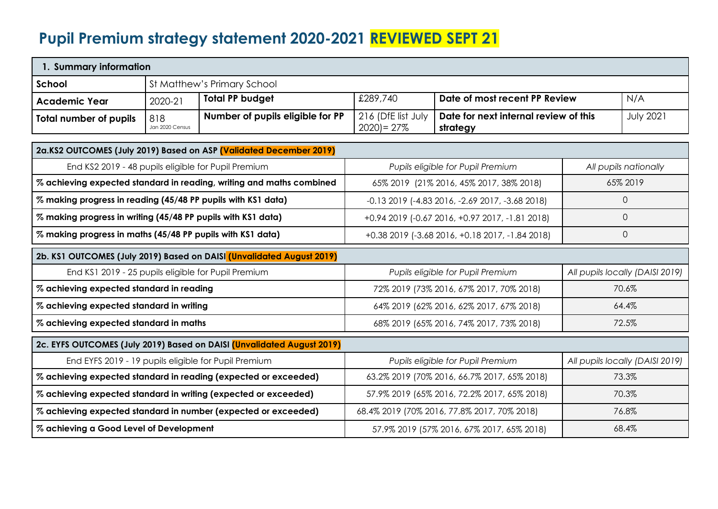## **Pupil Premium strategy statement 2020-2021 REVIEWED SEPT 21**

| 1. Summary information                                             |                        |                                                                        |                                                                                         |                                                 |             |                                 |
|--------------------------------------------------------------------|------------------------|------------------------------------------------------------------------|-----------------------------------------------------------------------------------------|-------------------------------------------------|-------------|---------------------------------|
| School                                                             |                        | St Matthew's Primary School                                            |                                                                                         |                                                 |             |                                 |
| <b>Academic Year</b>                                               | 2020-21                | <b>Total PP budget</b>                                                 | £289,740                                                                                | Date of most recent PP Review                   |             | N/A                             |
| <b>Total number of pupils</b>                                      | 818<br>Jan 2020 Census | Number of pupils eligible for PP                                       | 216 (DfE list July<br>Date for next internal review of this<br>$2020 = 27%$<br>strategy |                                                 |             | <b>July 2021</b>                |
| 2a.KS2 OUTCOMES (July 2019) Based on ASP [Validated December 2019] |                        |                                                                        |                                                                                         |                                                 |             |                                 |
| End KS2 2019 - 48 pupils eligible for Pupil Premium                |                        |                                                                        |                                                                                         | Pupils eligible for Pupil Premium               |             | All pupils nationally           |
|                                                                    |                        | % achieving expected standard in reading, writing and maths combined   |                                                                                         | 65% 2019 (21% 2016, 45% 2017, 38% 2018)         |             | 65% 2019                        |
| % making progress in reading (45/48 PP pupils with KS1 data)       |                        |                                                                        |                                                                                         | -0.13 2019 (-4.83 2016, -2.69 2017, -3.68 2018) | $\mathbf 0$ |                                 |
| % making progress in writing (45/48 PP pupils with KS1 data)       |                        | +0.94 2019 (-0.67 2016, +0.97 2017, -1.81 2018)                        |                                                                                         | $\Omega$                                        |             |                                 |
| % making progress in maths (45/48 PP pupils with KS1 data)         |                        |                                                                        | +0.38 2019 (-3.68 2016, +0.18 2017, -1.84 2018)                                         |                                                 | $\Omega$    |                                 |
|                                                                    |                        | 2b. KS1 OUTCOMES (July 2019) Based on DAISI (Unvalidated August 2019)  |                                                                                         |                                                 |             |                                 |
| End KS1 2019 - 25 pupils eligible for Pupil Premium                |                        |                                                                        |                                                                                         | Pupils eligible for Pupil Premium               |             | All pupils locally (DAISI 2019) |
| % achieving expected standard in reading                           |                        |                                                                        |                                                                                         | 72% 2019 (73% 2016, 67% 2017, 70% 2018)         |             | 70.6%                           |
| % achieving expected standard in writing                           |                        |                                                                        | 64% 2019 (62% 2016, 62% 2017, 67% 2018)                                                 |                                                 |             | 64.4%                           |
| % achieving expected standard in maths                             |                        |                                                                        | 68% 2019 (65% 2016, 74% 2017, 73% 2018)                                                 |                                                 |             | 72.5%                           |
|                                                                    |                        | 2c. EYFS OUTCOMES (July 2019) Based on DAISI (Unvalidated August 2019) |                                                                                         |                                                 |             |                                 |
| End EYFS 2019 - 19 pupils eligible for Pupil Premium               |                        |                                                                        |                                                                                         | Pupils eligible for Pupil Premium               |             | All pupils locally (DAISI 2019) |
|                                                                    |                        | % achieving expected standard in reading (expected or exceeded)        |                                                                                         | 63.2% 2019 (70% 2016, 66.7% 2017, 65% 2018)     |             | 73.3%                           |
|                                                                    |                        | % achieving expected standard in writing (expected or exceeded)        | 57.9% 2019 (65% 2016, 72.2% 2017, 65% 2018)                                             |                                                 |             | 70.3%                           |
|                                                                    |                        | % achieving expected standard in number (expected or exceeded)         | 68.4% 2019 (70% 2016, 77.8% 2017, 70% 2018)                                             |                                                 |             | 76.8%                           |
| % achieving a Good Level of Development                            |                        | 57.9% 2019 (57% 2016, 67% 2017, 65% 2018)                              |                                                                                         |                                                 | 68.4%       |                                 |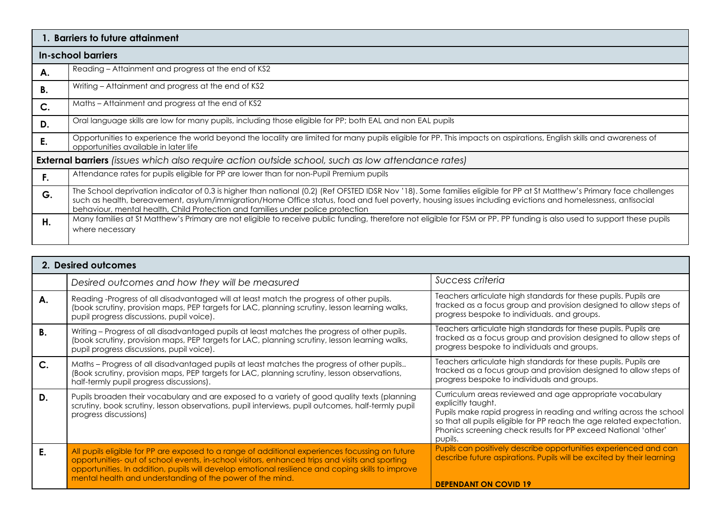|    | 1. Barriers to future attainment                                                                                                                                                                                                                                                                                                                                                                                        |
|----|-------------------------------------------------------------------------------------------------------------------------------------------------------------------------------------------------------------------------------------------------------------------------------------------------------------------------------------------------------------------------------------------------------------------------|
|    | In-school barriers                                                                                                                                                                                                                                                                                                                                                                                                      |
| А. | Reading – Attainment and progress at the end of KS2                                                                                                                                                                                                                                                                                                                                                                     |
| В. | Writing – Attainment and progress at the end of KS2                                                                                                                                                                                                                                                                                                                                                                     |
| C. | Maths - Attainment and progress at the end of KS2                                                                                                                                                                                                                                                                                                                                                                       |
| D. | Oral language skills are low for many pupils, including those eligible for PP; both EAL and non EAL pupils                                                                                                                                                                                                                                                                                                              |
| Е. | Opportunities to experience the world beyond the locality are limited for many pupils eligible for PP. This impacts on aspirations, English skills and awareness of<br>opportunities available in later life                                                                                                                                                                                                            |
|    | <b>External barriers</b> (issues which also require action outside school, such as low attendance rates)                                                                                                                                                                                                                                                                                                                |
| F. | Attendance rates for pupils eligible for PP are lower than for non-Pupil Premium pupils                                                                                                                                                                                                                                                                                                                                 |
| G. | The School deprivation indicator of 0.3 is higher than national (0.2) (Ref OFSTED IDSR Nov '18). Some families eligible for PP at St Matthew's Primary face challenges<br>such as health, bereavement, asylum/immigration/Home Office status, food and fuel poverty, housing issues including evictions and homelessness, antisocial<br>behaviour, mental health, Child Protection and families under police protection |
| Η. | Many families at St Matthew's Primary are not eligible to receive public funding, therefore not eligible for FSM or PP. PP funding is also used to support these pupils<br>where necessary                                                                                                                                                                                                                              |

|             | 2. Desired outcomes                                                                                                                                                                                                                                                                                                                                                  |                                                                                                                                                                                                                                                                                                             |
|-------------|----------------------------------------------------------------------------------------------------------------------------------------------------------------------------------------------------------------------------------------------------------------------------------------------------------------------------------------------------------------------|-------------------------------------------------------------------------------------------------------------------------------------------------------------------------------------------------------------------------------------------------------------------------------------------------------------|
|             | Desired outcomes and how they will be measured                                                                                                                                                                                                                                                                                                                       | Success criteria                                                                                                                                                                                                                                                                                            |
| А.          | Reading -Progress of all disadvantaged will at least match the progress of other pupils.<br>(book scrutiny, provision maps, PEP targets for LAC, planning scrutiny, lesson learning walks,<br>pupil progress discussions, pupil voice).                                                                                                                              | Teachers articulate high standards for these pupils. Pupils are<br>tracked as a focus group and provision designed to allow steps of<br>progress bespoke to individuals. and groups.                                                                                                                        |
| В.          | Writing - Progress of all disadvantaged pupils at least matches the progress of other pupils.<br>(book scrutiny, provision maps, PEP targets for LAC, planning scrutiny, lesson learning walks,<br>pupil progress discussions, pupil voice).                                                                                                                         | Teachers articulate high standards for these pupils. Pupils are<br>tracked as a focus group and provision designed to allow steps of<br>progress bespoke to individuals and groups.                                                                                                                         |
| $C_{\cdot}$ | Maths - Progress of all disadvantaged pupils at least matches the progress of other pupils<br>(Book scrutiny, provision maps, PEP targets for LAC, planning scrutiny, lesson observations,<br>half-termly pupil progress discussions).                                                                                                                               | Teachers articulate high standards for these pupils. Pupils are<br>tracked as a focus group and provision designed to allow steps of<br>progress bespoke to individuals and groups.                                                                                                                         |
| D.          | Pupils broaden their vocabulary and are exposed to a variety of good quality texts (planning<br>scrutiny, book scrutiny, lesson observations, pupil interviews, pupil outcomes, half-termly pupil<br>progress discussions)                                                                                                                                           | Curriculum areas reviewed and age appropriate vocabulary<br>explicitly taught.<br>Pupils make rapid progress in reading and writing across the school<br>so that all pupils eligible for PP reach the age related expectation.<br>Phonics screening check results for PP exceed National 'other'<br>pupils. |
| Е.          | All pupils eligible for PP are exposed to a range of additional experiences focussing on future<br>opportunities- out of school events, in-school visitors, enhanced trips and visits and sporting<br>opportunities. In addition, pupils will develop emotional resilience and coping skills to improve<br>mental health and understanding of the power of the mind. | Pupils can positively describe opportunities experienced and can<br>describe future aspirations. Pupils will be excited by their learning<br><b>DEPENDANT ON COVID 19</b>                                                                                                                                   |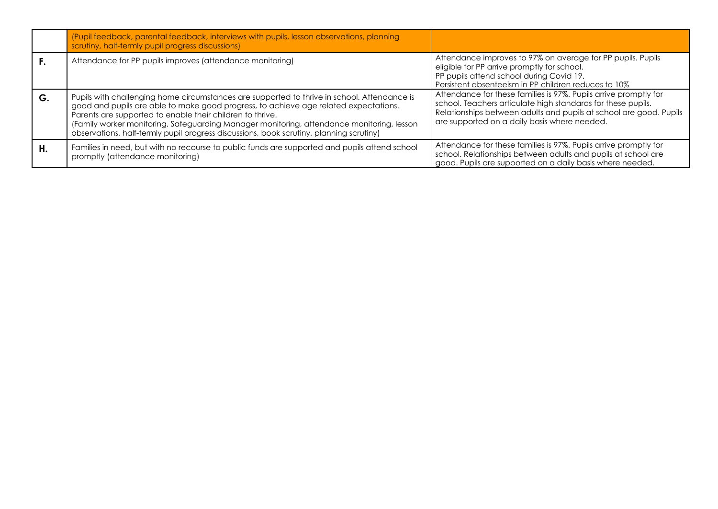|    | (Pupil feedback, parental feedback, interviews with pupils, lesson observations, planning<br>scrutiny, half-termly pupil progress discussions)                                                                                                                                                                                                                                                                                           |                                                                                                                                                                                                                                                        |
|----|------------------------------------------------------------------------------------------------------------------------------------------------------------------------------------------------------------------------------------------------------------------------------------------------------------------------------------------------------------------------------------------------------------------------------------------|--------------------------------------------------------------------------------------------------------------------------------------------------------------------------------------------------------------------------------------------------------|
|    | Attendance for PP pupils improves (attendance monitoring)                                                                                                                                                                                                                                                                                                                                                                                | Attendance improves to 97% on average for PP pupils. Pupils<br>eligible for PP arrive promptly for school.<br>PP pupils attend school during Covid 19.<br>Persistent absenteeism in PP children reduces to 10%                                         |
| G. | Pupils with challenging home circumstances are supported to thrive in school. Attendance is<br>good and pupils are able to make good progress, to achieve age related expectations.<br>Parents are supported to enable their children to thrive.<br>(Family worker monitoring, Safeguarding Manager monitoring, attendance monitoring, lesson<br>observations, half-termly pupil progress discussions, book scrutiny, planning scrutiny) | Attendance for these families is 97%. Pupils arrive promptly for<br>school. Teachers articulate high standards for these pupils.<br>Relationships between adults and pupils at school are good. Pupils<br>are supported on a daily basis where needed. |
| Η. | Families in need, but with no recourse to public funds are supported and pupils attend school<br>promptly (attendance monitoring)                                                                                                                                                                                                                                                                                                        | Attendance for these families is 97%. Pupils arrive promptly for<br>school. Relationships between adults and pupils at school are<br>good. Pupils are supported on a daily basis where needed.                                                         |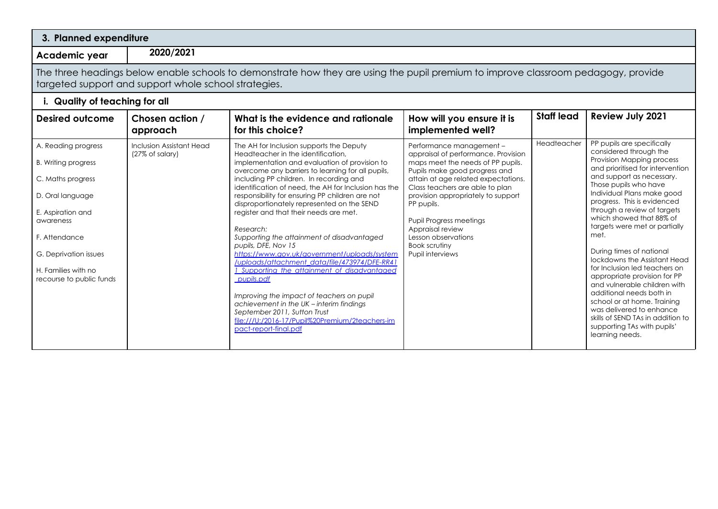| 3. Planned expenditure                                                                                                                                                                                             |                                                                                                                                                                                             |                                                                                                                                                                                                                                                                                                                                                                                                                                                                                                                                                                                                                                                                                                                                                                                                                                                                                          |                                                                                                                                                                                                                                                                                                                                                                                              |                   |                                                                                                                                                                                                                                                                                                                                                                                                                                                                                                                                                                                                                                                                                         |  |
|--------------------------------------------------------------------------------------------------------------------------------------------------------------------------------------------------------------------|---------------------------------------------------------------------------------------------------------------------------------------------------------------------------------------------|------------------------------------------------------------------------------------------------------------------------------------------------------------------------------------------------------------------------------------------------------------------------------------------------------------------------------------------------------------------------------------------------------------------------------------------------------------------------------------------------------------------------------------------------------------------------------------------------------------------------------------------------------------------------------------------------------------------------------------------------------------------------------------------------------------------------------------------------------------------------------------------|----------------------------------------------------------------------------------------------------------------------------------------------------------------------------------------------------------------------------------------------------------------------------------------------------------------------------------------------------------------------------------------------|-------------------|-----------------------------------------------------------------------------------------------------------------------------------------------------------------------------------------------------------------------------------------------------------------------------------------------------------------------------------------------------------------------------------------------------------------------------------------------------------------------------------------------------------------------------------------------------------------------------------------------------------------------------------------------------------------------------------------|--|
| Academic year                                                                                                                                                                                                      | 2020/2021                                                                                                                                                                                   |                                                                                                                                                                                                                                                                                                                                                                                                                                                                                                                                                                                                                                                                                                                                                                                                                                                                                          |                                                                                                                                                                                                                                                                                                                                                                                              |                   |                                                                                                                                                                                                                                                                                                                                                                                                                                                                                                                                                                                                                                                                                         |  |
|                                                                                                                                                                                                                    | The three headings below enable schools to demonstrate how they are using the pupil premium to improve classroom pedagogy, provide<br>targeted support and support whole school strategies. |                                                                                                                                                                                                                                                                                                                                                                                                                                                                                                                                                                                                                                                                                                                                                                                                                                                                                          |                                                                                                                                                                                                                                                                                                                                                                                              |                   |                                                                                                                                                                                                                                                                                                                                                                                                                                                                                                                                                                                                                                                                                         |  |
| i. Quality of teaching for all                                                                                                                                                                                     |                                                                                                                                                                                             |                                                                                                                                                                                                                                                                                                                                                                                                                                                                                                                                                                                                                                                                                                                                                                                                                                                                                          |                                                                                                                                                                                                                                                                                                                                                                                              |                   |                                                                                                                                                                                                                                                                                                                                                                                                                                                                                                                                                                                                                                                                                         |  |
| <b>Desired outcome</b>                                                                                                                                                                                             | Chosen action /<br>approach                                                                                                                                                                 | What is the evidence and rationale<br>for this choice?                                                                                                                                                                                                                                                                                                                                                                                                                                                                                                                                                                                                                                                                                                                                                                                                                                   | How will you ensure it is<br>implemented well?                                                                                                                                                                                                                                                                                                                                               | <b>Staff lead</b> | <b>Review July 2021</b>                                                                                                                                                                                                                                                                                                                                                                                                                                                                                                                                                                                                                                                                 |  |
| A. Reading progress<br>B. Writing progress<br>C. Maths progress<br>D. Oral language<br>E. Aspiration and<br>awareness<br>F. Attendance<br>G. Deprivation issues<br>H. Families with no<br>recourse to public funds | Inclusion Assistant Head<br>(27% of salary)                                                                                                                                                 | The AH for Inclusion supports the Deputy<br>Headteacher in the identification.<br>implementation and evaluation of provision to<br>overcome any barriers to learning for all pupils,<br>including PP children. In recording and<br>identification of need, the AH for Inclusion has the<br>responsibility for ensuring PP children are not<br>disproportionately represented on the SEND<br>register and that their needs are met.<br>Research:<br>Supporting the attainment of disadvantaged<br>pupils, DFE, Nov 15<br>https://www.gov.uk/government/uploads/system<br>/uploads/attachment_data/file/473974/DFE-RR41<br>I Supporting the attainment of disadvantaged<br>pupils.pdf<br>Improving the impact of teachers on pupil<br>achievement in the UK - interim findings<br>September 2011, Sutton Trust<br>file:///U:/2016-17/Pupil%20Premium/2teachers-im<br>pact-report-final.pdf | Performance management -<br>appraisal of performance. Provision<br>maps meet the needs of PP pupils.<br>Pupils make good progress and<br>attain at age related expectations.<br>Class teachers are able to plan<br>provision appropriately to support<br>PP pupils.<br><b>Pupil Progress meetings</b><br>Appraisal review<br>Lesson observations<br><b>Book scrutiny</b><br>Pupil interviews | Headteacher       | PP pupils are specifically<br>considered through the<br>Provision Mapping process<br>and prioritised for intervention<br>and support as necessary.<br>Those pupils who have<br>Individual Plans make good<br>progress. This is evidenced<br>through a review of targets<br>which showed that 88% of<br>targets were met or partially<br>met.<br>During times of national<br>lockdowns the Assistant Head<br>for Inclusion led teachers on<br>appropriate provision for PP<br>and vulnerable children with<br>additional needs both in<br>school or at home. Training<br>was delivered to enhance<br>skills of SEND TAs in addition to<br>supporting TAs with pupils'<br>learning needs. |  |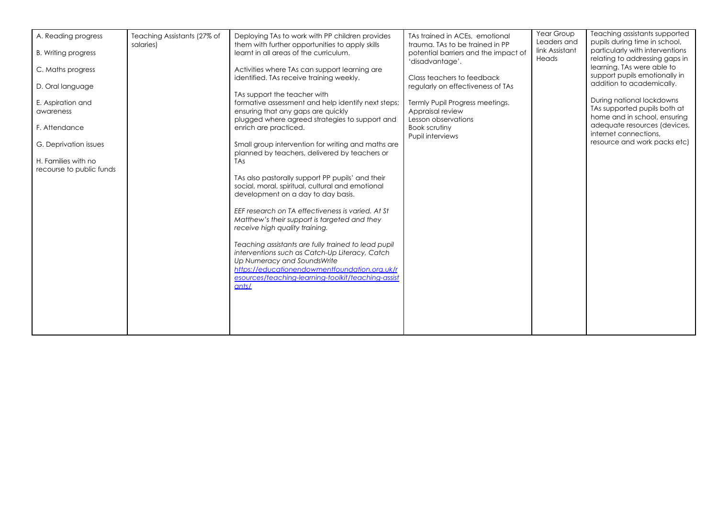| A. Reading progress<br><b>B.</b> Writing progress | Teaching Assistants (27% of<br>salaries) | Deploying TAs to work with PP children provides<br>them with further opportunities to apply skills<br>learnt in all areas of the curriculum. | TAs trained in ACEs, emotional<br>trauma. TAs to be trained in PP<br>potential barriers and the impact of<br>'disadvantage'. | Year Group<br>Leaders and<br>link Assistant<br>Heads | Teaching assistants supported<br>pupils during time in school,<br>particularly with interventions<br>relating to addressing gaps in |
|---------------------------------------------------|------------------------------------------|----------------------------------------------------------------------------------------------------------------------------------------------|------------------------------------------------------------------------------------------------------------------------------|------------------------------------------------------|-------------------------------------------------------------------------------------------------------------------------------------|
| C. Maths progress                                 |                                          | Activities where TAs can support learning are<br>identified. TAs receive training weekly.                                                    | Class teachers to feedback                                                                                                   |                                                      | learning. TAs were able to<br>support pupils emotionally in                                                                         |
| D. Oral language                                  |                                          | TAs support the teacher with                                                                                                                 | regularly on effectiveness of TAs                                                                                            |                                                      | addition to academically.                                                                                                           |
| E. Aspiration and<br>awareness                    |                                          | formative assessment and help identify next steps;<br>ensuring that any gaps are quickly<br>plugged where agreed strategies to support and   | Termly Pupil Progress meetings.<br>Appraisal review<br>Lesson observations                                                   |                                                      | During national lockdowns<br>TAs supported pupils both at<br>home and in school, ensuring                                           |
| F. Attendance                                     |                                          | enrich are practiced.                                                                                                                        | Book scrutiny<br>Pupil interviews                                                                                            |                                                      | adequate resources (devices,<br>internet connections.                                                                               |
| G. Deprivation issues                             |                                          | Small group intervention for writing and maths are<br>planned by teachers, delivered by teachers or                                          |                                                                                                                              |                                                      | resource and work packs etc)                                                                                                        |
| H. Families with no<br>recourse to public funds   |                                          | <b>TAs</b>                                                                                                                                   |                                                                                                                              |                                                      |                                                                                                                                     |
|                                                   |                                          | TAs also pastorally support PP pupils' and their<br>social, moral, spiritual, cultural and emotional<br>development on a day to day basis.   |                                                                                                                              |                                                      |                                                                                                                                     |
|                                                   |                                          | EEF research on TA effectiveness is varied. At St<br>Matthew's their support is targeted and they<br>receive high quality training.          |                                                                                                                              |                                                      |                                                                                                                                     |
|                                                   |                                          | Teaching assistants are fully trained to lead pupil<br>interventions such as Catch-Up Literacy, Catch<br>Up Numeracy and SoundsWrite         |                                                                                                                              |                                                      |                                                                                                                                     |
|                                                   |                                          | https://educationendowmentfoundation.org.uk/r<br>esources/teaching-learning-toolkit/teaching-assist<br>ants/                                 |                                                                                                                              |                                                      |                                                                                                                                     |
|                                                   |                                          |                                                                                                                                              |                                                                                                                              |                                                      |                                                                                                                                     |
|                                                   |                                          |                                                                                                                                              |                                                                                                                              |                                                      |                                                                                                                                     |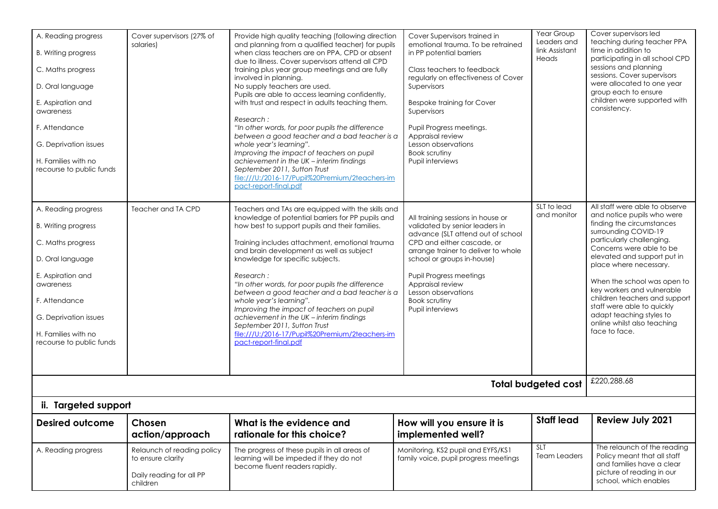| A. Reading progress<br><b>B.</b> Writing progress<br>C. Maths progress<br>D. Oral language<br>E. Aspiration and<br>awareness<br>F. Attendance<br>G. Deprivation issues<br>H. Families with no<br>recourse to public funds<br>A. Reading progress<br><b>B.</b> Writing progress<br>C. Maths progress<br>D. Oral language<br>E. Aspiration and<br>awareness<br>F. Attendance<br>G. Deprivation issues<br>H. Families with no<br>recourse to public funds | Cover supervisors (27% of<br>salaries)<br>Teacher and TA CPD                            | Provide high quality teaching (following direction<br>and planning from a qualified teacher) for pupils<br>when class teachers are on PPA, CPD or absent<br>due to illness. Cover supervisors attend all CPD<br>training plus year group meetings and are fully<br>involved in planning.<br>No supply teachers are used.<br>Pupils are able to access learning confidently,<br>with trust and respect in adults teaching them.<br>Research:<br>"In other words, for poor pupils the difference<br>between a good teacher and a bad teacher is a<br>whole year's learning".<br>Improving the impact of teachers on pupil<br>achievement in the UK - interim findings<br>September 2011, Sutton Trust<br>file:///U:/2016-17/Pupil%20Premium/2teachers-im<br>pact-report-final.pdf<br>Teachers and TAs are equipped with the skills and<br>knowledge of potential barriers for PP pupils and<br>how best to support pupils and their families.<br>Training includes attachment, emotional trauma<br>and brain development as well as subject<br>knowledge for specific subjects.<br>Research:<br>"In other words, for poor pupils the difference<br>between a good teacher and a bad teacher is a<br>whole year's learning".<br>Improving the impact of teachers on pupil<br>achievement in the UK - interim findings<br>September 2011, Sutton Trust<br>file:///U:/2016-17/Pupil%20Premium/2teachers-im<br>pact-report-final.pdf | Cover Supervisors trained in<br>emotional trauma. To be retrained<br>in PP potential barriers<br>Class teachers to feedback<br>regularly on effectiveness of Cover<br>Supervisors<br><b>Bespoke training for Cover</b><br>Supervisors<br>Pupil Progress meetings.<br>Appraisal review<br>Lesson observations<br><b>Book scrutiny</b><br>Pupil interviews<br>All training sessions in house or<br>validated by senior leaders in<br>advance (SLT attend out of school<br>CPD and either cascade, or<br>arrange trainer to deliver to whole<br>school or groups in-house)<br><b>Pupil Progress meetings</b><br>Appraisal review<br>Lesson observations<br><b>Book scrutiny</b><br>Pupil interviews | Year Group<br>Leaders and<br>link Assistant<br>Heads<br>SLT to lead<br>and monitor | Cover supervisors led<br>teaching during teacher PPA<br>time in addition to<br>participating in all school CPD<br>sessions and planning<br>sessions. Cover supervisors<br>were allocated to one year<br>group each to ensure<br>children were supported with<br>consistency.<br>All staff were able to observe<br>and notice pupils who were<br>finding the circumstances<br>surrounding COVID-19<br>particularly challenging.<br>Concerns were able to be<br>elevated and support put in<br>place where necessary.<br>When the school was open to<br>key workers and vulnerable<br>children teachers and support<br>staff were able to quickly<br>adapt teaching styles to<br>online whilst also teaching<br>face to face. |
|--------------------------------------------------------------------------------------------------------------------------------------------------------------------------------------------------------------------------------------------------------------------------------------------------------------------------------------------------------------------------------------------------------------------------------------------------------|-----------------------------------------------------------------------------------------|--------------------------------------------------------------------------------------------------------------------------------------------------------------------------------------------------------------------------------------------------------------------------------------------------------------------------------------------------------------------------------------------------------------------------------------------------------------------------------------------------------------------------------------------------------------------------------------------------------------------------------------------------------------------------------------------------------------------------------------------------------------------------------------------------------------------------------------------------------------------------------------------------------------------------------------------------------------------------------------------------------------------------------------------------------------------------------------------------------------------------------------------------------------------------------------------------------------------------------------------------------------------------------------------------------------------------------------------------------------------------------------------------------------------------------|--------------------------------------------------------------------------------------------------------------------------------------------------------------------------------------------------------------------------------------------------------------------------------------------------------------------------------------------------------------------------------------------------------------------------------------------------------------------------------------------------------------------------------------------------------------------------------------------------------------------------------------------------------------------------------------------------|------------------------------------------------------------------------------------|-----------------------------------------------------------------------------------------------------------------------------------------------------------------------------------------------------------------------------------------------------------------------------------------------------------------------------------------------------------------------------------------------------------------------------------------------------------------------------------------------------------------------------------------------------------------------------------------------------------------------------------------------------------------------------------------------------------------------------|
| ii. Targeted support                                                                                                                                                                                                                                                                                                                                                                                                                                   |                                                                                         |                                                                                                                                                                                                                                                                                                                                                                                                                                                                                                                                                                                                                                                                                                                                                                                                                                                                                                                                                                                                                                                                                                                                                                                                                                                                                                                                                                                                                                |                                                                                                                                                                                                                                                                                                                                                                                                                                                                                                                                                                                                                                                                                                  | <b>Total budgeted cost</b>                                                         | £220,288.68                                                                                                                                                                                                                                                                                                                                                                                                                                                                                                                                                                                                                                                                                                                 |
| <b>Desired outcome</b>                                                                                                                                                                                                                                                                                                                                                                                                                                 | Chosen                                                                                  | What is the evidence and                                                                                                                                                                                                                                                                                                                                                                                                                                                                                                                                                                                                                                                                                                                                                                                                                                                                                                                                                                                                                                                                                                                                                                                                                                                                                                                                                                                                       | How will you ensure it is                                                                                                                                                                                                                                                                                                                                                                                                                                                                                                                                                                                                                                                                        | <b>Staff lead</b>                                                                  | Review July 2021                                                                                                                                                                                                                                                                                                                                                                                                                                                                                                                                                                                                                                                                                                            |
|                                                                                                                                                                                                                                                                                                                                                                                                                                                        | action/approach                                                                         | rationale for this choice?                                                                                                                                                                                                                                                                                                                                                                                                                                                                                                                                                                                                                                                                                                                                                                                                                                                                                                                                                                                                                                                                                                                                                                                                                                                                                                                                                                                                     | implemented well?                                                                                                                                                                                                                                                                                                                                                                                                                                                                                                                                                                                                                                                                                |                                                                                    |                                                                                                                                                                                                                                                                                                                                                                                                                                                                                                                                                                                                                                                                                                                             |
| A. Reading progress                                                                                                                                                                                                                                                                                                                                                                                                                                    | Relaunch of reading policy<br>to ensure clarity<br>Daily reading for all PP<br>children | The progress of these pupils in all areas of<br>learning will be impeded if they do not<br>become fluent readers rapidly.                                                                                                                                                                                                                                                                                                                                                                                                                                                                                                                                                                                                                                                                                                                                                                                                                                                                                                                                                                                                                                                                                                                                                                                                                                                                                                      | Monitoring, KS2 pupil and EYFS/KS1<br>family voice, pupil progress meetings                                                                                                                                                                                                                                                                                                                                                                                                                                                                                                                                                                                                                      | SLT<br><b>Team Leaders</b>                                                         | The relaunch of the reading<br>Policy meant that all staff<br>and families have a clear<br>picture of reading in our<br>school, which enables                                                                                                                                                                                                                                                                                                                                                                                                                                                                                                                                                                               |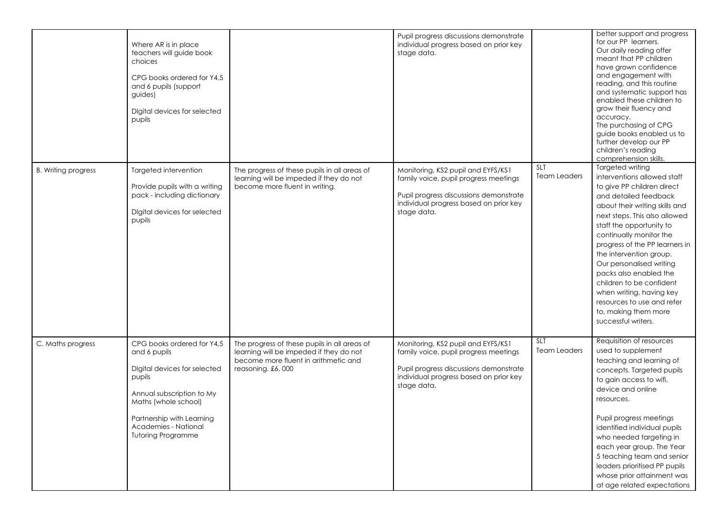| <b>B.</b> Writing progress | Where AR is in place<br>teachers will guide book<br>choices<br>CPG books ordered for Y4.5<br>and 6 pupils (support<br>guides)<br>Digital devices for selected<br>pupils<br>Targeted intervention                            | The progress of these pupils in all areas of                                                                                                         | Pupil progress discussions demonstrate<br>individual progress based on prior key<br>stage data.<br>Monitoring, KS2 pupil and EYFS/KS1                                          | <b>SLT</b>                        | better support and progress<br>for our PP learners.<br>Our daily reading offer<br>meant that PP children<br>have grown confidence<br>and engagement with<br>reading, and this routine<br>and systematic support has<br>enabled these children to<br>grow their fluency and<br>accuracy.<br>The purchasing of CPG<br>guide books enabled us to<br>further develop our PP<br>children's reading<br>comprehension skills.<br>Targeted writing                           |
|----------------------------|-----------------------------------------------------------------------------------------------------------------------------------------------------------------------------------------------------------------------------|------------------------------------------------------------------------------------------------------------------------------------------------------|--------------------------------------------------------------------------------------------------------------------------------------------------------------------------------|-----------------------------------|----------------------------------------------------------------------------------------------------------------------------------------------------------------------------------------------------------------------------------------------------------------------------------------------------------------------------------------------------------------------------------------------------------------------------------------------------------------------|
|                            | Provide pupils with a writing<br>pack - including dictionary<br>Digital devices for selected<br>pupils                                                                                                                      | learning will be impeded if they do not<br>become more fluent in writing.                                                                            | family voice, pupil progress meetings<br>Pupil progress discussions demonstrate<br>individual progress based on prior key<br>stage data.                                       | <b>Team Leaders</b>               | interventions allowed staff<br>to give PP children direct<br>and detailed feedback<br>about their writing skills and<br>next steps. This also allowed<br>staff the opportunity to<br>continually monitor the<br>progress of the PP learners in<br>the intervention group.<br>Our personalised writing<br>packs also enabled the<br>children to be confident<br>when writing, having key<br>resources to use and refer<br>to, making them more<br>successful writers. |
| C. Maths progress          | CPG books ordered for Y4,5<br>and 6 pupils<br>Digital devices for selected<br>pupils<br>Annual subscription to My<br>Maths (whole school)<br>Partnership with Learning<br>Academies - National<br><b>Tutoring Programme</b> | The progress of these pupils in all areas of<br>learning will be impeded if they do not<br>become more fluent in arithmetic and<br>reasoning. £6,000 | Monitoring, KS2 pupil and EYFS/KS1<br>family voice, pupil progress meetings<br>Pupil progress discussions demonstrate<br>individual progress based on prior key<br>stage data. | <b>SLT</b><br><b>Team Leaders</b> | Requisition of resources<br>used to supplement<br>teaching and learning of<br>concepts. Targeted pupils<br>to gain access to wifi,<br>device and online<br>resources.<br>Pupil progress meetings<br>identified individual pupils<br>who needed targeting in<br>each year group. The Year<br>5 teaching team and senior<br>leaders prioritised PP pupils<br>whose prior attainment was<br>at age related expectations                                                 |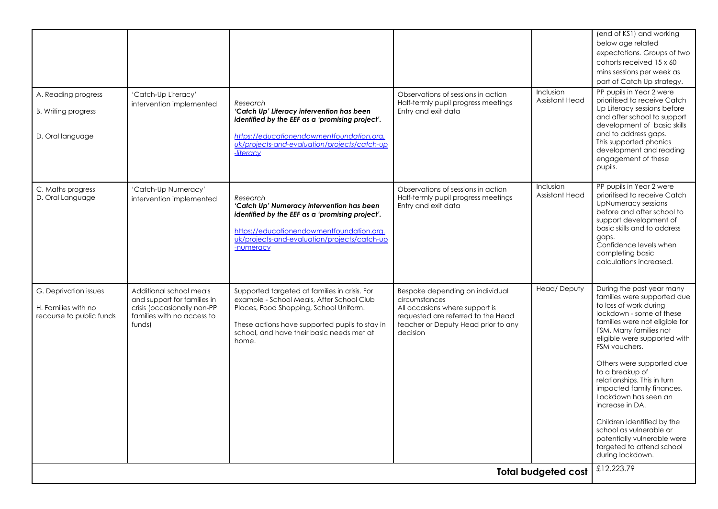| A. Reading progress<br><b>B.</b> Writing progress<br>D. Oral language    | 'Catch-Up Literacy'<br>intervention implemented                                                                               | Research<br>'Catch Up' Literacy intervention has been<br>identified by the EEF as a 'promising project'.<br>https://educationendowmentfoundation.org.<br>uk/projects-and-evaluation/projects/catch-up<br>-literacy                           | Observations of sessions in action<br>Half-termly pupil progress meetings<br>Entry and exit data                                                                            | <b>Inclusion</b><br>Assistant Head | (end of KS1) and working<br>below age related<br>expectations. Groups of two<br>cohorts received 15 x 60<br>mins sessions per week as<br>part of Catch Up strategy.<br>PP pupils in Year 2 were<br>prioritised to receive Catch<br>Up Literacy sessions before<br>and after school to support<br>development of basic skills<br>and to address gaps.<br>This supported phonics<br>development and reading<br>engagement of these<br>pupils.                                                                                               |
|--------------------------------------------------------------------------|-------------------------------------------------------------------------------------------------------------------------------|----------------------------------------------------------------------------------------------------------------------------------------------------------------------------------------------------------------------------------------------|-----------------------------------------------------------------------------------------------------------------------------------------------------------------------------|------------------------------------|-------------------------------------------------------------------------------------------------------------------------------------------------------------------------------------------------------------------------------------------------------------------------------------------------------------------------------------------------------------------------------------------------------------------------------------------------------------------------------------------------------------------------------------------|
| C. Maths progress<br>D. Oral Language                                    | 'Catch-Up Numeracy'<br>intervention implemented                                                                               | Research<br>'Catch Up' Numeracy intervention has been<br>identified by the EEF as a 'promising project'.<br>https://educationendowmentfoundation.org.<br>uk/projects-and-evaluation/projects/catch-up<br>-numeracy                           | Observations of sessions in action<br>Half-termly pupil progress meetings<br>Entry and exit data                                                                            | <b>Inclusion</b><br>Assistant Head | PP pupils in Year 2 were<br>prioritised to receive Catch<br>UpNumeracy sessions<br>before and after school to<br>support development of<br>basic skills and to address<br>gaps.<br>Confidence levels when<br>completing basic<br>calculations increased.                                                                                                                                                                                                                                                                                  |
| G. Deprivation issues<br>H. Families with no<br>recourse to public funds | Additional school meals<br>and support for families in<br>crisis (occasionally non-PP<br>families with no access to<br>funds) | Supported targeted at families in crisis. For<br>example - School Meals, After School Club<br>Places, Food Shopping, School Uniform.<br>These actions have supported pupils to stay in<br>school, and have their basic needs met at<br>home. | Bespoke depending on individual<br>circumstances<br>All occasions where support is<br>requested are referred to the Head<br>teacher or Deputy Head prior to any<br>decision | Head/Deputy                        | During the past year many<br>families were supported due<br>to loss of work during<br>lockdown - some of these<br>families were not eligible for<br>FSM. Many families not<br>eligible were supported with<br>FSM vouchers.<br>Others were supported due<br>to a breakup of<br>relationships. This in turn<br>impacted family finances.<br>Lockdown has seen an<br>increase in DA.<br>Children identified by the<br>school as vulnerable or<br>potentially vulnerable were<br>targeted to attend school<br>during lockdown.<br>£12,223.79 |
|                                                                          |                                                                                                                               |                                                                                                                                                                                                                                              |                                                                                                                                                                             | <b>Total budgeted cost</b>         |                                                                                                                                                                                                                                                                                                                                                                                                                                                                                                                                           |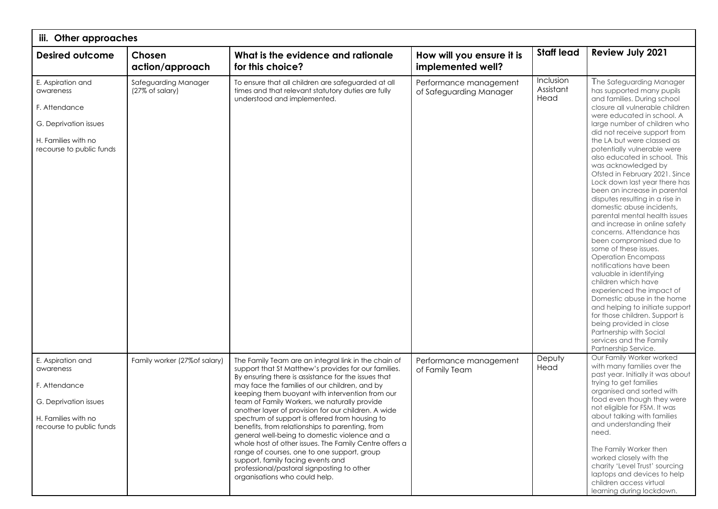| iii. Other approaches                                                                                                       |                                         |                                                                                                                                                                                                                                                                                                                                                                                                                                                                                                                                                                                                                                                                                                                                                                   |                                                   |                                |                                                                                                                                                                                                                                                                                                                                                                                                                                                                                                                                                                                                                                                                                                                                                                                                                                                                                                                                                                                                                     |  |
|-----------------------------------------------------------------------------------------------------------------------------|-----------------------------------------|-------------------------------------------------------------------------------------------------------------------------------------------------------------------------------------------------------------------------------------------------------------------------------------------------------------------------------------------------------------------------------------------------------------------------------------------------------------------------------------------------------------------------------------------------------------------------------------------------------------------------------------------------------------------------------------------------------------------------------------------------------------------|---------------------------------------------------|--------------------------------|---------------------------------------------------------------------------------------------------------------------------------------------------------------------------------------------------------------------------------------------------------------------------------------------------------------------------------------------------------------------------------------------------------------------------------------------------------------------------------------------------------------------------------------------------------------------------------------------------------------------------------------------------------------------------------------------------------------------------------------------------------------------------------------------------------------------------------------------------------------------------------------------------------------------------------------------------------------------------------------------------------------------|--|
| <b>Desired outcome</b>                                                                                                      | Chosen<br>action/approach               | What is the evidence and rationale<br>for this choice?                                                                                                                                                                                                                                                                                                                                                                                                                                                                                                                                                                                                                                                                                                            | How will you ensure it is<br>implemented well?    | <b>Staff lead</b>              | Review July 2021                                                                                                                                                                                                                                                                                                                                                                                                                                                                                                                                                                                                                                                                                                                                                                                                                                                                                                                                                                                                    |  |
| E. Aspiration and<br>awareness<br>F. Attendance<br>G. Deprivation issues<br>H. Families with no<br>recourse to public funds | Safeguarding Manager<br>(27% of salary) | To ensure that all children are safeguarded at all<br>times and that relevant statutory duties are fully<br>understood and implemented.                                                                                                                                                                                                                                                                                                                                                                                                                                                                                                                                                                                                                           | Performance management<br>of Safeguarding Manager | Inclusion<br>Assistant<br>Head | The Safeguarding Manager<br>has supported many pupils<br>and families. During school<br>closure all vulnerable children<br>were educated in school. A<br>large number of children who<br>did not receive support from<br>the LA but were classed as<br>potentially vulnerable were<br>also educated in school. This<br>was acknowledged by<br>Ofsted in February 2021. Since<br>Lock down last year there has<br>been an increase in parental<br>disputes resulting in a rise in<br>domestic abuse incidents,<br>parental mental health issues<br>and increase in online safety<br>concerns. Attendance has<br>been compromised due to<br>some of these issues.<br><b>Operation Encompass</b><br>notifications have been<br>valuable in identifying<br>children which have<br>experienced the impact of<br>Domestic abuse in the home<br>and helping to initiate support<br>for those children. Support is<br>being provided in close<br>Partnership with Social<br>services and the Family<br>Partnership Service. |  |
| E. Aspiration and<br>awareness<br>F. Attendance<br>G. Deprivation issues<br>H. Families with no<br>recourse to public funds | Family worker (27% of salary)           | The Family Team are an integral link in the chain of<br>support that St Matthew's provides for our families.<br>By ensuring there is assistance for the issues that<br>may face the families of our children, and by<br>keeping them buoyant with intervention from our<br>team of Family Workers, we naturally provide<br>another layer of provision for our children. A wide<br>spectrum of support is offered from housing to<br>benefits, from relationships to parenting, from<br>general well-being to domestic violence and a<br>whole host of other issues. The Family Centre offers a<br>range of courses, one to one support, group<br>support, family facing events and<br>professional/pastoral signposting to other<br>organisations who could help. | Performance management<br>of Family Team          | Deputy<br>Head                 | Our Family Worker worked<br>with many families over the<br>past year. Initially it was about<br>trying to get families<br>organised and sorted with<br>food even though they were<br>not eligible for FSM. It was<br>about talking with families<br>and understanding their<br>need.<br>The Family Worker then<br>worked closely with the<br>charity 'Level Trust' sourcing<br>laptops and devices to help<br>children access virtual<br>learning during lockdown.                                                                                                                                                                                                                                                                                                                                                                                                                                                                                                                                                  |  |